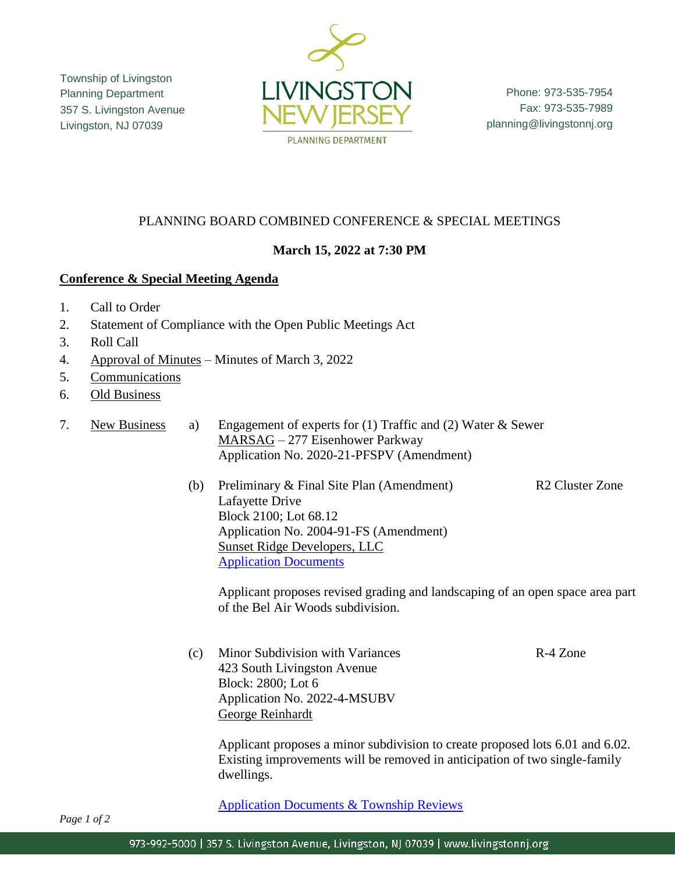Township of Livingston Planning Department 357 S. Livingston Avenue Livingston, NJ 07039



Phone: 973-535-7954 Fax: 973-535-7989 planning@livingstonnj.org

# PLANNING BOARD COMBINED CONFERENCE & SPECIAL MEETINGS

## **March 15, 2022 at 7:30 PM**

### **Conference & Special Meeting Agenda**

- 1. Call to Order
- 2. Statement of Compliance with the Open Public Meetings Act
- 3. Roll Call
- 4. Approval of Minutes Minutes of March 3, 2022
- 5. Communications
- 6. Old Business
- 7. New Business a) Engagement of experts for (1) Traffic and (2) Water & Sewer MARSAG – 277 Eisenhower Parkway Application No. 2020-21-PFSPV (Amendment)
	- (b) Preliminary & Final Site Plan (Amendment) R2 Cluster Zone Lafayette Drive Block 2100; Lot 68.12 Application No. 2004-91-FS (Amendment) Sunset Ridge Developers, LLC [Application Documents](https://www.livingstonnj.org/DocumentCenter/View/13365/Sunset-Ridge---Lafayette-Drive---Application-Docs)

Applicant proposes revised grading and landscaping of an open space area part of the Bel Air Woods subdivision.

(c) Minor Subdivision with Variances R-4 Zone 423 South Livingston Avenue Block: 2800; Lot 6 Application No. 2022-4-MSUBV George Reinhardt

Applicant proposes a minor subdivision to create proposed lots 6.01 and 6.02. Existing improvements will be removed in anticipation of two single-family dwellings.

[Application Documents & Township Reviews](http://livingstonnj.org/DocumentCenter/View/13303/423-S-Livingston-Ave---Application-Docs)

*Page 1 of 2*